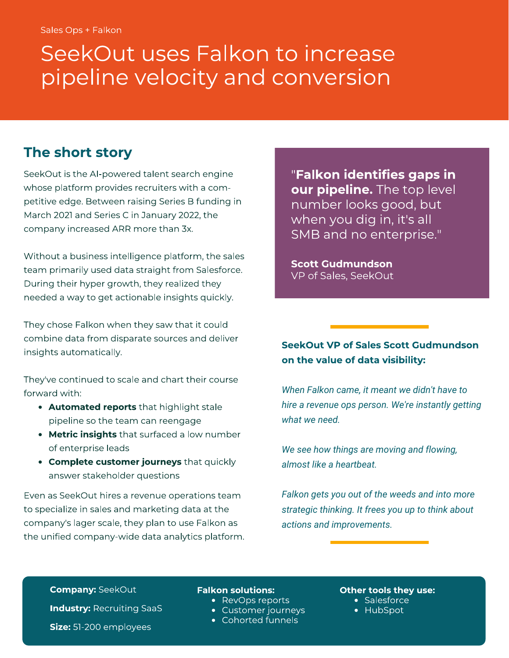# pipeline velocity and conversion pipeline velocity and conversion and conversion  $\mathcal{F}$

### The short story

SeekOut is the AI-powered talent search engine<br>whose platform provides recruiters with a competitive edge. Between raising Series B funding in March 2021 and Series C in January 2022, the March 2021 and Series C in January 2022, the company increased ARR more than 3x.

Without a business intelligence platform, the sales<br>team primarily used data straight from Salesforce. During their hyper growth, they realized they needed a way to get actionable insights quickly. needed a way to get actionable insights quickly.

They chose Falkon when they saw that it could<br>combine data from disparate sources and deliver insights automatically. insights automatically.

They've continued to scale and chart their course<br>forward with:

- Automated reports that highlight stale pipeline so the team can reengage
- **Metric insights** that surfaced a low number of enterprise leads
- **Complete customer journeys** that quickly answer stakeholder questions answer stakeholder questions

Even as SeekOut hires a revenue operations team to specialize in sales and marketing data at the company's lager scale, they plan to use Falkon as the unified company-wide data analytics platform. "**Falkon identifies gaps in<br><b>our pipeline.** The top level number looks good, but when you dig in, it's all<br>SMR and no enternrise " SMB and no enterprise."

Scott Gudmundson VP of Sales, SeekOut

#### SeekOut VP of Sales Scott Gudmundson on the value of data visibility:

*When Falkon came, it meant we didn't have to hire a revenue ops person. We're instantly getting what we need.*

*We see how things are moving and flowing, almost like a heartbeat.*

*Falkon gets you out of the weeds and into more strategic thinking. It frees you up to think about actions and improvements.*

Company: SeekOut

Industry: Recruiting SaaS

## **Falkon solutions:**<br>• RevOps reports

- 
- Customer journeys
- Cohorted funnels

**Other tools they use:**<br>• Salesforce

salesforce<br>HubSpot